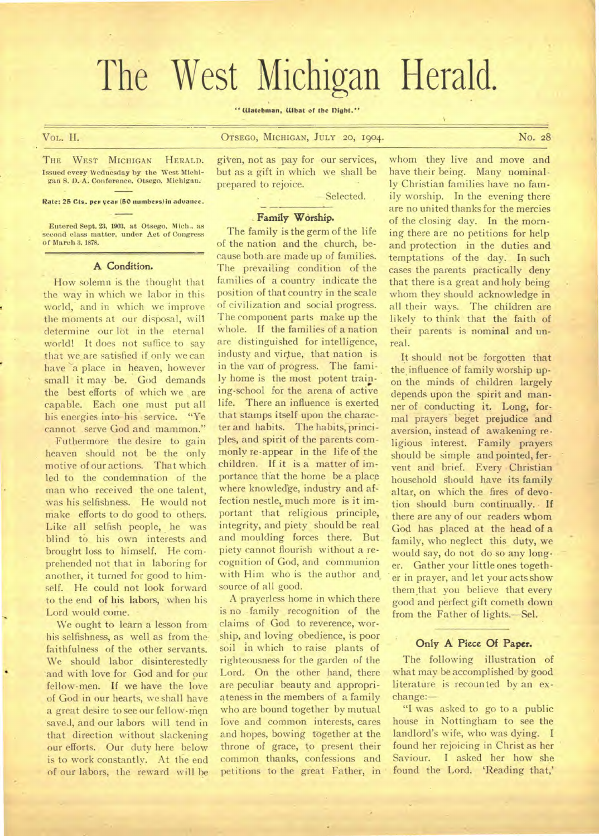# The West Michigan Herald.

**" Watchman. What of the flight."** 

Vox- IL **OTSEGO, MICHIGAN, JULY 20, 1904.** No. 28

THE WEST MICHIGAN HERALD. **Issued every Wednesday by the West Michigan S. 0.-A. Conference, Otsego, Michigan:.** 

**Rate: 25 Cts. per year (50 numbers) in advance.** 

**Entered Sept. 23. 1903. at Otsego. Mich..** as **second class matter, under Act of Congress of March 3, 1878.** 

#### **A Condition.**

How solemn is the thought that the way in which we labor in this world, and in which we improve the moments at our disposal, will determine our lot in the eternal world! It does not suffice to say that we are satisfied if only we can have a place in heaven, however small it may be. God demands the best efforts of which we are capable. Each one must put all his energies into his service. "Ye cannot serve God and mammon."

Futhermore the desire to gain heaven should not be the only motive of our actions. That which led to the condemnation of the man who received the one talent, was his selfishness. He would not make efforts to do good to others. Like all selfish people, he was blind **to** his own interests and brought loss to himself. He comprehended not that in laboring for another, it turned for good to himself. He could not look forward to the end of his labors, when his Lord would come.

We ought to learn a lesson from his selfishness, as well as from thefaithfulness of the other servants. We should labor disinterestedly . and with love for God and for our fellow-men. If we have the love of God in our hearts, we shall have a great desire to see our fellow-men saved, and our labors will tend in that direction without slackening our efforts. Our duty here below is to work constantly. At the end of our labors, the reward will be

given, not as pay for our services, but as a gift in which we shall be

—Selected.

### **Family Worship.**

prepared to rejoice.

The family is the germ of the life of the nation and the church, because both are made up of families. The prevailing condition of the families of a country indicate the position of that country in the scale of civilization and social progress. The component parts make up the whole. If the families of a nation are distinguished for intelligence, industy and virtue; that nation is in the van of progress. The family home is the most potent training-school for the arena of active life. There an influence is exerted that stamps itself upon the character and habits. The habits, principles, and spirit of the parents commonly re-appear in the life of the children. If it is a matter of importance that the home be a place where knowledge, industry and affection nestle, much more is it important that religious principle, integrity, and piety should be real and moulding forces there. But piety cannot flourish without a recognition of God, and communion with Him who is the author and source of all good.

A prayerless home in which there is no family recognition of the claims of God to reverence, worship, and loving obedience, is poor soil in which to raise plants of righteousness for the garden of the Lord. On the other hand, there are peculiar beauty and appropriateness in the members of a family who are bound together by mutual love and common interests, cares and hopes, bowing together at the throne of grace, to present their common thanks, confessions and petitions to the great Father, in whom they live and move and have their being. Many nominally Christian families have no family worship. In the evening there are no united thanks for the mercies of the closing day. In the morning there are no petitions for help and protection in the duties and temptations of the day. In such cases the parents practically deny that there is a great and holy being whom they should acknowledge in all their ways. The children are likely to think that the faith of their parents is nominal and unreal.

It should not be forgotten that the influence of family worship upon the minds of children largely depends upon the spirit and manner of conducting it. Long, formal prayers beget prejudice and aversion, instead of awakening re• ligious interest. Family prayers should be simple and pointed, fervent and brief. Every Christian household should have its family altar, on which the fires of devotion should burn continually. If there are any of our readers whom God has placed at the head of a family, who neglect this duty, we would say, do not do so any longer. Gather your little ones together in prayer, and let your acts show them that you believe that every good and perfect gift cometh down from the Father of lights.—Sel.

# Only A Piece Of Paper.

The following illustration of what may be accomplished by good literature is recounted by an exchange:—

"I was asked to go to a public house in Nottingham to see the landlord's wife, who was dying. I found her rejoicing in Christ as her Saviour. I asked her how she found the Lord. 'Reading that,'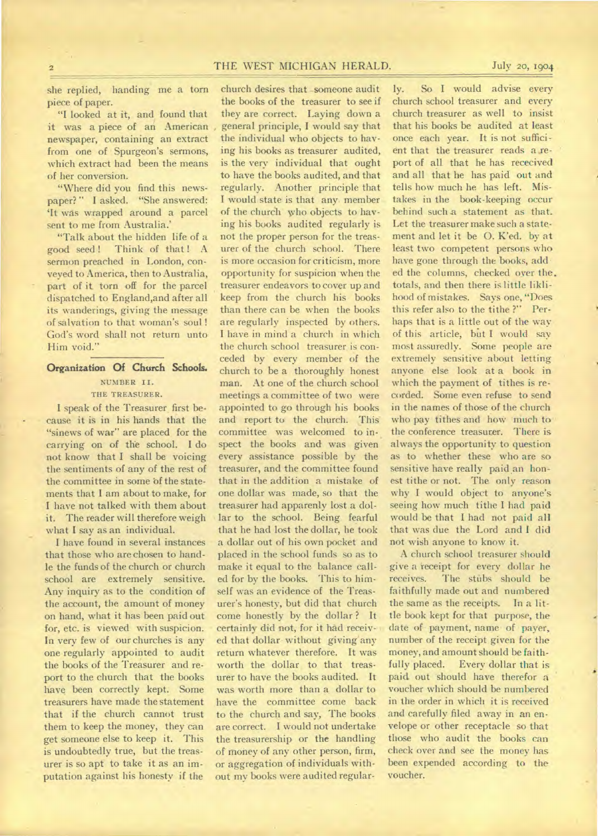# **2** THE WEST MICHIGAN HERALD. July **20, 1904**

she replied, handing me a torn piece of paper.

"I looked at it, and found that it was a piece of an American newspaper, containing an extract from one of Spurgeon's sermons, which extract had been the means of her conversion.

"Where did you find this newspaper?" I asked. "She answered: `It was wrapped around a parcel sent to me from Australia.'

"Talk about the hidden life of a good seed ! Think of that ! A sermon preached in London, conveyed to America, then to Australia, part of it torn off for the parcel dispatched to England,and after all its wanderings, giving the message of salvation to that woman's soul ! God's word shall not return unto Him void."

# Organization Of Church Schools. **NUMBER II.**

**THE TREASURER.** 

I speak of the Treasurer first because it is in his hands that the "sinews of war" are placed for the carrying on of the school. I do not know that I shall be voicing the sentiments of any of the rest of the committee in some of the statements that I am about to make, for I have not talked with them about it. The reader will therefore weigh what I say as an individual.

I have found in several instances that those who are chosen to handle the funds of the church or church school are extremely sensitive. Any inquiry as to the condition of the account, the amount of money on hand, what it has been paid out for, etc. is viewed with suspicion. In very few of our churches is any one regularly appointed to audit the books of the Treasurer and report to the church that the books have been correctly kept. Some treasurers have made the statement that if the church cannot trust them to keep the money, they can get someone else to keep it. This is undoubtedly true, but the treasurer is so apt to take it as an imputation against his honesty if the

church desires that \_someone audit the books of the treasurer to see if they are correct. Laying down a general principle, I would say that the individual who objects to having his books as treasurer audited, is the very individual that ought to have the books audited, and that regularly. Another principle that I would state is that any member of the church who objects to having his books audited regularly is not the proper person for the treasurer of the church school. There is more occasion for criticism, more opportunity for suspicion 'when the treasurer endeavors to cover up and keep from the church his books than there can be when the books are regularly inspected by others. I have in mind a church in which the church school treasurer is conceded by every member of the church to be a thoroughly honest man. At one of the church school meetings a committee of two were appointed to go through his books and report to the church. This committee was welcomed to inspect the books and was given every assistance possible by the treasurer, and the committee found that in the addition a mistake of one dollar was made, so that the treasurer had apparenly lost a dollar to the school. Being fearful that he had lost the dollar, he took a dollar out of his own pocket and placed in the school funds so as to make it equal to the balance called for by the books. This to himself was an evidence of the Treasurer's honesty, but did that church come honestly by the dollar ? It certainly did not, for it had received that dollar without giving'any return whatever therefore. It was worth the dollar to that treasurer to have the books audited. It was worth more than a dollar to have the committee come back to the church and say, The books are correct. I would not undertake the treasurership or the handling of' money of any other person, firm, or aggregation of individuals without my books were audited regular.

ly. So I would advise every church school treasurer and every church treasurer as well to insist that his books be audited at least once each year. It is not sufficient that the treasurer reads a report of all that he has rececived and all that he has paid out and tells how much he has left. Mistakes in the book-keeping occur behind such a statement as that. Let the treasurer make such a statement and let it be 0. K'ed. by at least two competent persons who have gone through the books, add ed the columns, checked over the. totals, and then there is little liklihood of mistakes. Says one, "Does this refer also to the tithe ?" Perhaps that is a little out of the way of this article, bit I would say most assuredly. Some people are extremely sensitive about letting anyone else look at a book in which the payment of tithes is recorded. Some even refuse to send in the names of those of the church who pay tithes and how much to the conference treasurer. There is always the opportunity to question as to whether these who are so sensitive have really paid an honest tithe or not. The only reason why I would object to anyone's seeing how much tithe I had paid would be that I had not paid all that was due the Lord and I did not wish anyone to know it.

A church school treasurer should give a ieceipt for every dollar he receives. The stubs should be faithfully made out and numbered the same as the receipts. In a little book kept for that purpose, the date of payment, name of payer, number of the receipt given for the money, and amount should be faithfully placed. Every dollar that is paid out should have therefor a voucher which should be numbered in the order in which it is received and carefully filed away in an envelope or other receptacle so that those who audit the books can check over and see the money has been expended according to the voucher.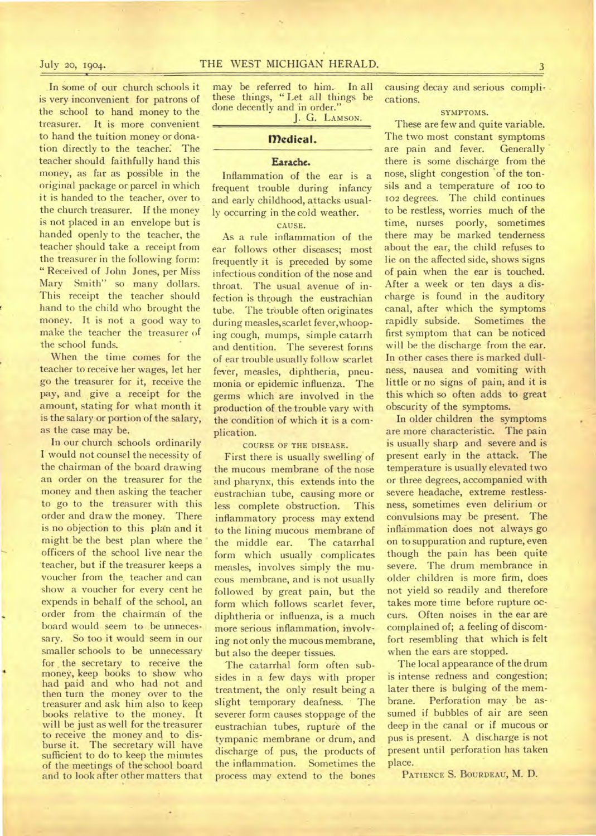In some of our church schools it is very inconvenient for patrons of the school to hand money to the treasurer. It is more convenient to hand the tuition money or donation directly to the teacher: The teacher should faithfully hand this money, as far as possible in the original package or parcel in which it is handed to the teacher, over to the church treasurer. If the money is not placed in an envelope but is handed openly to the teacher, the teacher should take a receipt from the treasurer in the following form: " Received of John Jones, per Miss Mary Smith" so many dollars. This receipt the teacher should hand to the child who brought the money. It is not a good way to make the teacher the treasurer of the school funds.

When the time comes for the teacher to receive her wages, let her go the treasurer for it, receive the pay, and give a receipt for the amount, stating for what month it is the salary or portion of the salary, as the case may be.

In our church schools ordinarily I would not counsel the necessity of the chairman of the board drawing an order on the treasurer for the money and then asking the teacher to go to the treasurer with this order and draw the money. There is no objection to this plan and it might be the best plan where the officers of the school live near the 'teacher, but if the treasurer keeps a voucher from the. teacher and can show a voucher for every cent he expends in behalf of the school, an order from the chairman of the board would seem to be unnecessary. So too it would seem in our smaller schools to be unnecessary for, the secretary to receive the money, keep books to show who had paid and who had not and then turn the money over to the treasurer and ask him also to keep books relative to the money. It will be just as well for the treasurer to receive the money and to disburse it. The secretary will have sufficient to do to keep the minutes of the meetings of the school board and to look after other matters that

may be referred to him. In all these things, " Let all things be done decently and in order."

J. G. LAMSON.

# **Medical.**

# Earache.

Inflammation of the ear is a frequent trouble during infancy and early childhood, attacks usually occurring in the cold weather.

## CAUSE.

As a rule inflammation of the ear follows other diseases; most frequently it is preceded by some infectious condition of the nose and throat. The usual avenue of infection is through the eustrachian tube. The trouble often originates during measles,scarlet fever,whooping cough, mumps, simple catarrh and dentition. The severest forms of ear trouble usually follow scarlet fever, measles, diphtheria, pneumonia or epidemic influenza. The germs which are involved in the production of the trouble vary with the condition of which it is a complication.

COURSE OF THE DISEASE.

First there is usually swelling of the mucous membrane of the nose and pharynx, this extends into the eustrachian tube, causing more or less complete obstruction. This inflammatory process may extend to the lining mucous membrane of<br>the middle ear. The catarrhal the middle ear. form which usually complicates measles, involves simply the mucous membrane, and is not usually followed by great pain, but the form which follows scarlet fever, diphtheria or influenza, is a much more serious inflammation, involving not only the mucous membrane, but also the deeper tissues.

The catarrhal form often subsides in a few days with proper treatment, the only result being a slight temporary deafness. The severer form causes stoppage of the eustrachian tubes, rupture of the tympanic membrane or drum, and discharge of pus, the products of<br>the inflammation. Sometimes the the inflammation. process may extend to the bones

causing decay and serious complications.

# SYMPTOMS.

These are few and quite variable. The two most constant symptoms are pain and fever. Generally there is some discharge from the nose, slight congestion 'of the tonsils and a temperature of 100 to 102 degrees. The child continues to be restless, worries much of the time, nurses poorly, sometimes there may be marked tenderness about the ear, the child refuses to lie on the affected side, shows signs of pain when the ear is touched. After a week or ten days a discharge is found in the auditory canal, after which the symptoms rapidly subside. Sometimes the first symptom that can be noticed will be the discharge from the ear. In other cases there is marked dullness, nausea and vomiting with little or no signs of pain, and it is this which so often adds to great obscurity of the symptoms.

In older children the symptoms are more characteristic. The pain is usually sharp and severe and is present early in the attack. The temperature is usually elevated two or three degrees, accompanied with severe headache, extreme restlessness, sometimes even delirium or convulsions may be present. The inflammation does not always go on to suppuration and rupture, even though the pain has been quite severe. The drum membrance in older children is more firm, does not yield so readily and therefore takes more time before rupture occurs. Often noises in the ear are complained of; a feeling of discomfort resembling that which is felt when the ears are stopped.

The local appearance of the drum is intense redness and congestion; later there is bulging of the membrane. Perforation may be assumed if bubbles of air are seen deep in the canal or if mucous or pus is present. A discharge is not present until perforation has taken place.

PATIENCE S. BOURDEAU, M. D.